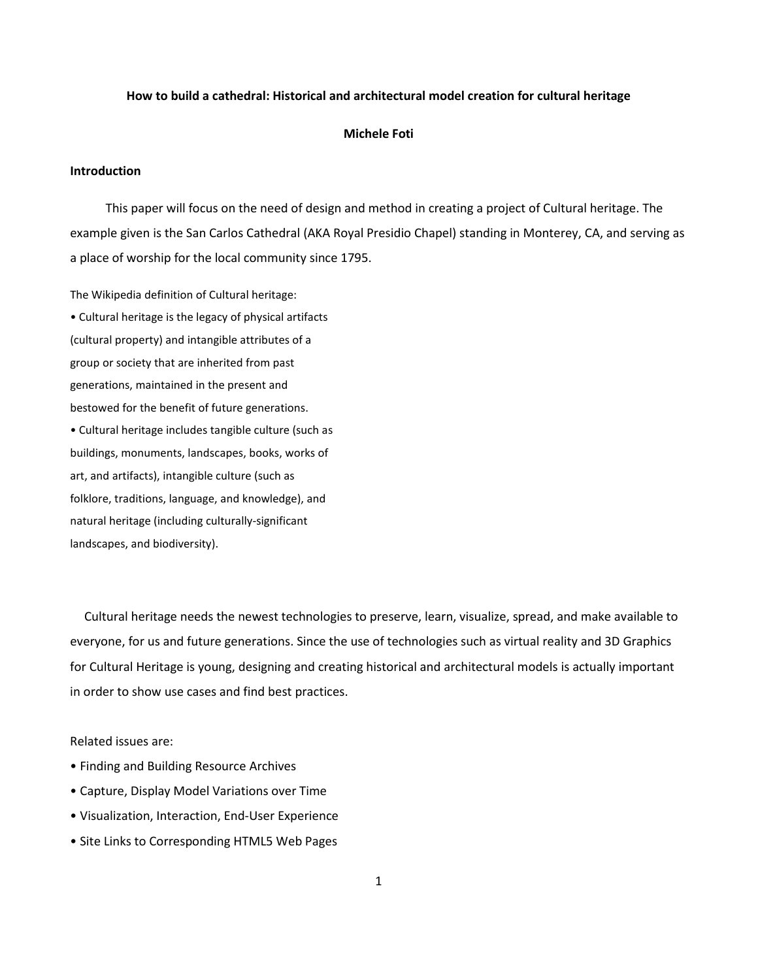# **How to build a cathedral: Historical and architectural model creation for cultural heritage**

#### **Michele Foti**

# **Introduction**

 This paper will focus on the need of design and method in creating a project of Cultural heritage. The example given is the San Carlos Cathedral (AKA Royal Presidio Chapel) standing in Monterey, CA, and serving as a place of worship for the local community since 1795.

The Wikipedia definition of Cultural heritage:

• Cultural heritage is the legacy of physical artifacts (cultural property) and intangible attributes of a group or society that are inherited from past generations, maintained in the present and bestowed for the benefit of future generations. • Cultural heritage includes tangible culture (such as buildings, monuments, landscapes, books, works of art, and artifacts), intangible culture (such as folklore, traditions, language, and knowledge), and natural heritage (including culturally-significant landscapes, and biodiversity).

 Cultural heritage needs the newest technologies to preserve, learn, visualize, spread, and make available to everyone, for us and future generations. Since the use of technologies such as virtual reality and 3D Graphics for Cultural Heritage is young, designing and creating historical and architectural models is actually important in order to show use cases and find best practices.

Related issues are:

- Finding and Building Resource Archives
- Capture, Display Model Variations over Time
- Visualization, Interaction, End-User Experience
- Site Links to Corresponding HTML5 Web Pages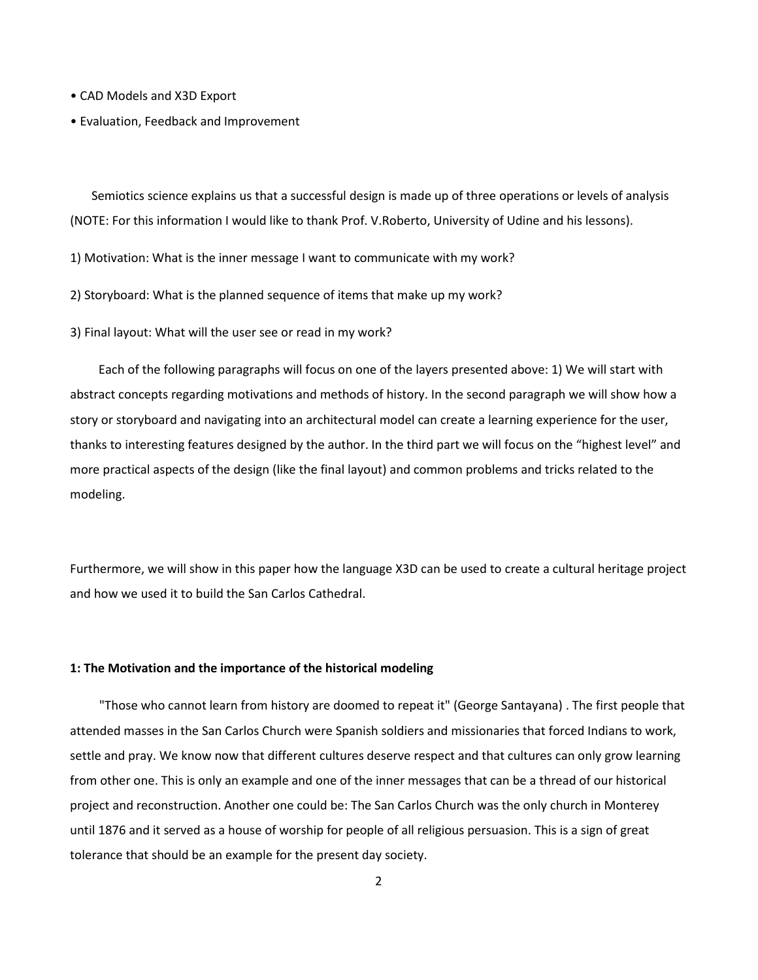- CAD Models and X3D Export
- Evaluation, Feedback and Improvement

 Semiotics science explains us that a successful design is made up of three operations or levels of analysis (NOTE: For this information I would like to thank Prof. V.Roberto, University of Udine and his lessons).

1) Motivation: What is the inner message I want to communicate with my work?

2) Storyboard: What is the planned sequence of items that make up my work?

3) Final layout: What will the user see or read in my work?

 Each of the following paragraphs will focus on one of the layers presented above: 1) We will start with abstract concepts regarding motivations and methods of history. In the second paragraph we will show how a story or storyboard and navigating into an architectural model can create a learning experience for the user, thanks to interesting features designed by the author. In the third part we will focus on the "highest level" and more practical aspects of the design (like the final layout) and common problems and tricks related to the modeling.

Furthermore, we will show in this paper how the language X3D can be used to create a cultural heritage project and how we used it to build the San Carlos Cathedral.

# **1: The Motivation and the importance of the historical modeling**

"Those who cannot learn from history are doomed to repeat it" (George Santayana) . The first people that attended masses in the San Carlos Church were Spanish soldiers and missionaries that forced Indians to work, settle and pray. We know now that different cultures deserve respect and that cultures can only grow learning from other one. This is only an example and one of the inner messages that can be a thread of our historical project and reconstruction. Another one could be: The San Carlos Church was the only church in Monterey until 1876 and it served as a house of worship for people of all religious persuasion. This is a sign of great tolerance that should be an example for the present day society.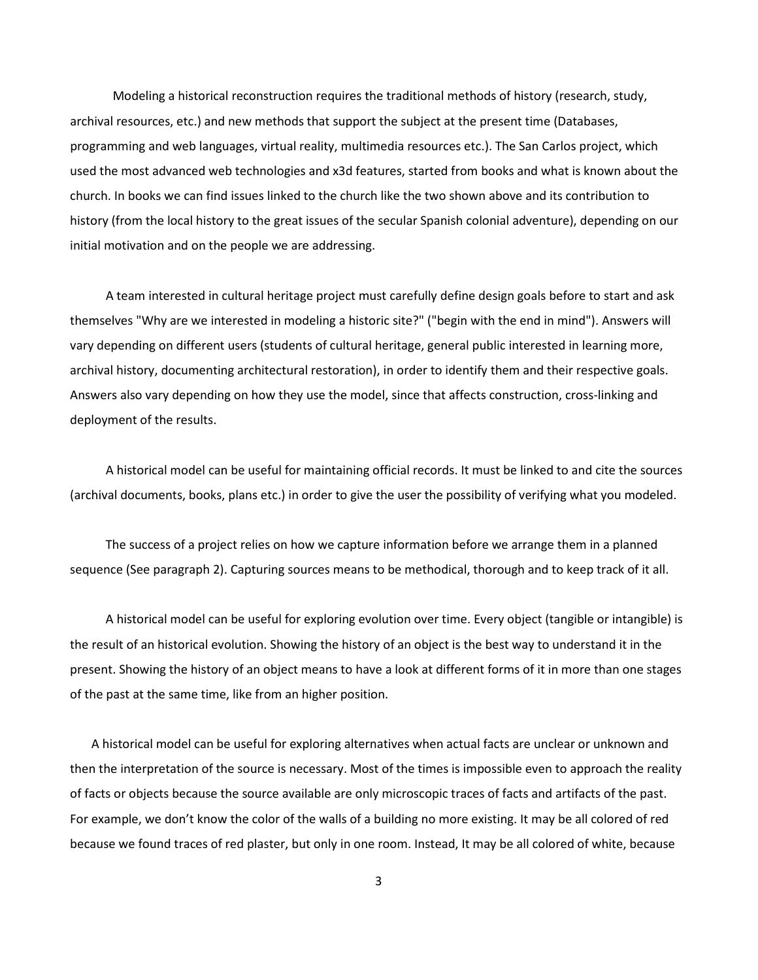Modeling a historical reconstruction requires the traditional methods of history (research, study, archival resources, etc.) and new methods that support the subject at the present time (Databases, programming and web languages, virtual reality, multimedia resources etc.). The San Carlos project, which used the most advanced web technologies and x3d features, started from books and what is known about the church. In books we can find issues linked to the church like the two shown above and its contribution to history (from the local history to the great issues of the secular Spanish colonial adventure), depending on our initial motivation and on the people we are addressing.

 A team interested in cultural heritage project must carefully define design goals before to start and ask themselves "Why are we interested in modeling a historic site?" ("begin with the end in mind"). Answers will vary depending on different users (students of cultural heritage, general public interested in learning more, archival history, documenting architectural restoration), in order to identify them and their respective goals. Answers also vary depending on how they use the model, since that affects construction, cross-linking and deployment of the results.

 A historical model can be useful for maintaining official records. It must be linked to and cite the sources (archival documents, books, plans etc.) in order to give the user the possibility of verifying what you modeled.

 The success of a project relies on how we capture information before we arrange them in a planned sequence (See paragraph 2). Capturing sources means to be methodical, thorough and to keep track of it all.

 A historical model can be useful for exploring evolution over time. Every object (tangible or intangible) is the result of an historical evolution. Showing the history of an object is the best way to understand it in the present. Showing the history of an object means to have a look at different forms of it in more than one stages of the past at the same time, like from an higher position.

 A historical model can be useful for exploring alternatives when actual facts are unclear or unknown and then the interpretation of the source is necessary. Most of the times is impossible even to approach the reality of facts or objects because the source available are only microscopic traces of facts and artifacts of the past. For example, we don't know the color of the walls of a building no more existing. It may be all colored of red because we found traces of red plaster, but only in one room. Instead, It may be all colored of white, because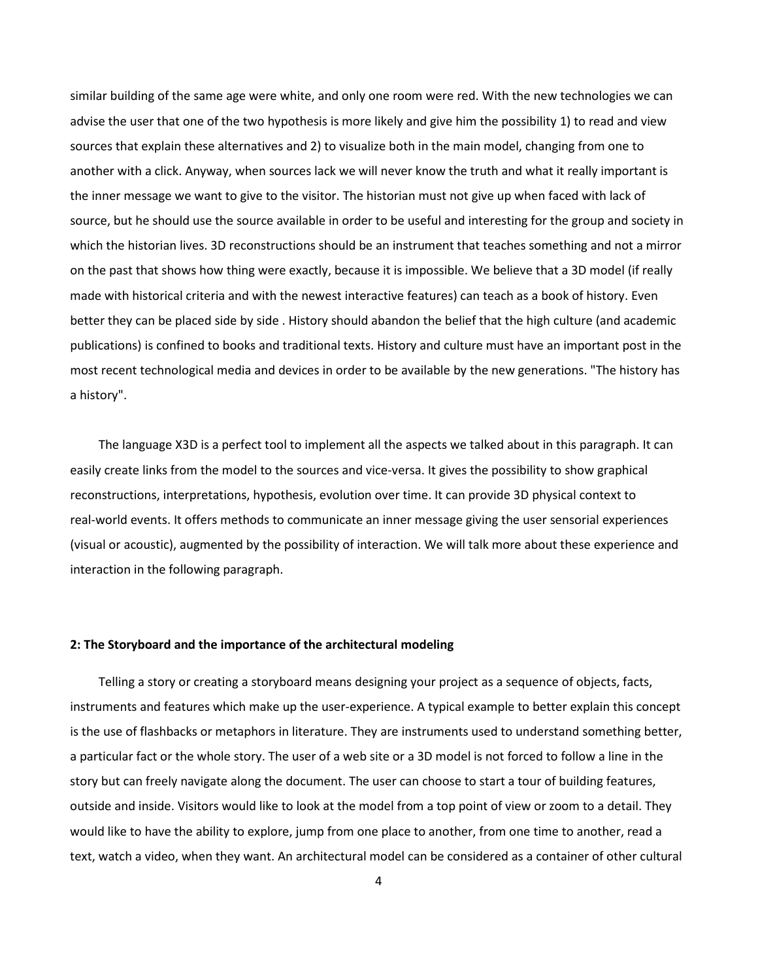similar building of the same age were white, and only one room were red. With the new technologies we can advise the user that one of the two hypothesis is more likely and give him the possibility 1) to read and view sources that explain these alternatives and 2) to visualize both in the main model, changing from one to another with a click. Anyway, when sources lack we will never know the truth and what it really important is the inner message we want to give to the visitor. The historian must not give up when faced with lack of source, but he should use the source available in order to be useful and interesting for the group and society in which the historian lives. 3D reconstructions should be an instrument that teaches something and not a mirror on the past that shows how thing were exactly, because it is impossible. We believe that a 3D model (if really made with historical criteria and with the newest interactive features) can teach as a book of history. Even better they can be placed side by side . History should abandon the belief that the high culture (and academic publications) is confined to books and traditional texts. History and culture must have an important post in the most recent technological media and devices in order to be available by the new generations. "The history has a history".

 The language X3D is a perfect tool to implement all the aspects we talked about in this paragraph. It can easily create links from the model to the sources and vice-versa. It gives the possibility to show graphical reconstructions, interpretations, hypothesis, evolution over time. It can provide 3D physical context to real-world events. It offers methods to communicate an inner message giving the user sensorial experiences (visual or acoustic), augmented by the possibility of interaction. We will talk more about these experience and interaction in the following paragraph.

### **2: The Storyboard and the importance of the architectural modeling**

 Telling a story or creating a storyboard means designing your project as a sequence of objects, facts, instruments and features which make up the user-experience. A typical example to better explain this concept is the use of flashbacks or metaphors in literature. They are instruments used to understand something better, a particular fact or the whole story. The user of a web site or a 3D model is not forced to follow a line in the story but can freely navigate along the document. The user can choose to start a tour of building features, outside and inside. Visitors would like to look at the model from a top point of view or zoom to a detail. They would like to have the ability to explore, jump from one place to another, from one time to another, read a text, watch a video, when they want. An architectural model can be considered as a container of other cultural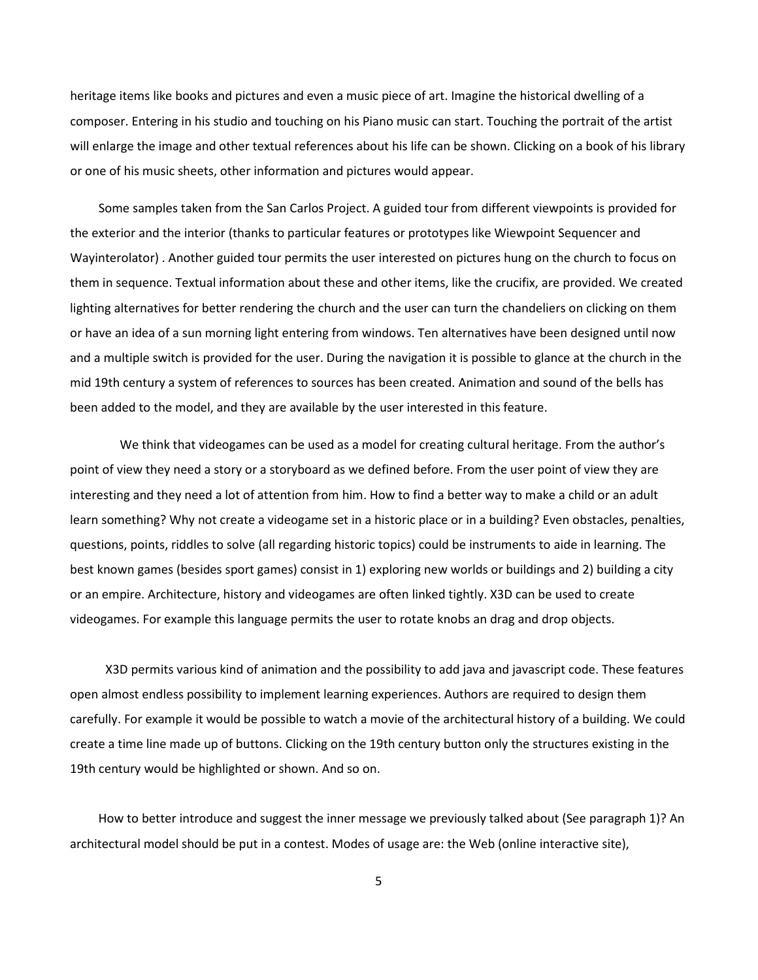heritage items like books and pictures and even a music piece of art. Imagine the historical dwelling of a composer. Entering in his studio and touching on his Piano music can start. Touching the portrait of the artist will enlarge the image and other textual references about his life can be shown. Clicking on a book of his library or one of his music sheets, other information and pictures would appear.

 Some samples taken from the San Carlos Project. A guided tour from different viewpoints is provided for the exterior and the interior (thanks to particular features or prototypes like Wiewpoint Sequencer and Wayinterolator) . Another guided tour permits the user interested on pictures hung on the church to focus on them in sequence. Textual information about these and other items, like the crucifix, are provided. We created lighting alternatives for better rendering the church and the user can turn the chandeliers on clicking on them or have an idea of a sun morning light entering from windows. Ten alternatives have been designed until now and a multiple switch is provided for the user. During the navigation it is possible to glance at the church in the mid 19th century a system of references to sources has been created. Animation and sound of the bells has been added to the model, and they are available by the user interested in this feature.

 We think that videogames can be used as a model for creating cultural heritage. From the author's point of view they need a story or a storyboard as we defined before. From the user point of view they are interesting and they need a lot of attention from him. How to find a better way to make a child or an adult learn something? Why not create a videogame set in a historic place or in a building? Even obstacles, penalties, questions, points, riddles to solve (all regarding historic topics) could be instruments to aide in learning. The best known games (besides sport games) consist in 1) exploring new worlds or buildings and 2) building a city or an empire. Architecture, history and videogames are often linked tightly. X3D can be used to create videogames. For example this language permits the user to rotate knobs an drag and drop objects.

 X3D permits various kind of animation and the possibility to add java and javascript code. These features open almost endless possibility to implement learning experiences. Authors are required to design them carefully. For example it would be possible to watch a movie of the architectural history of a building. We could create a time line made up of buttons. Clicking on the 19th century button only the structures existing in the 19th century would be highlighted or shown. And so on.

 How to better introduce and suggest the inner message we previously talked about (See paragraph 1)? An architectural model should be put in a contest. Modes of usage are: the Web (online interactive site),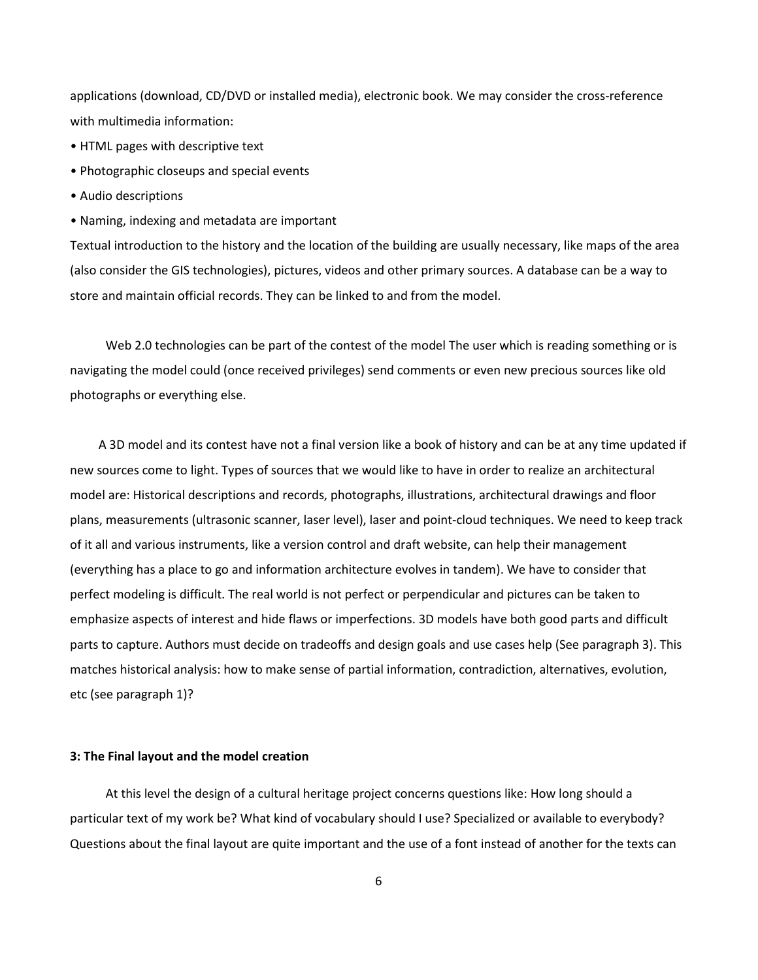applications (download, CD/DVD or installed media), electronic book. We may consider the cross-reference with multimedia information:

- HTML pages with descriptive text
- Photographic closeups and special events
- Audio descriptions
- Naming, indexing and metadata are important

Textual introduction to the history and the location of the building are usually necessary, like maps of the area (also consider the GIS technologies), pictures, videos and other primary sources. A database can be a way to store and maintain official records. They can be linked to and from the model.

Web 2.0 technologies can be part of the contest of the model The user which is reading something or is navigating the model could (once received privileges) send comments or even new precious sources like old photographs or everything else.

 A 3D model and its contest have not a final version like a book of history and can be at any time updated if new sources come to light. Types of sources that we would like to have in order to realize an architectural model are: Historical descriptions and records, photographs, illustrations, architectural drawings and floor plans, measurements (ultrasonic scanner, laser level), laser and point-cloud techniques. We need to keep track of it all and various instruments, like a version control and draft website, can help their management (everything has a place to go and information architecture evolves in tandem). We have to consider that perfect modeling is difficult. The real world is not perfect or perpendicular and pictures can be taken to emphasize aspects of interest and hide flaws or imperfections. 3D models have both good parts and difficult parts to capture. Authors must decide on tradeoffs and design goals and use cases help (See paragraph 3). This matches historical analysis: how to make sense of partial information, contradiction, alternatives, evolution, etc (see paragraph 1)?

### **3: The Final layout and the model creation**

 At this level the design of a cultural heritage project concerns questions like: How long should a particular text of my work be? What kind of vocabulary should I use? Specialized or available to everybody? Questions about the final layout are quite important and the use of a font instead of another for the texts can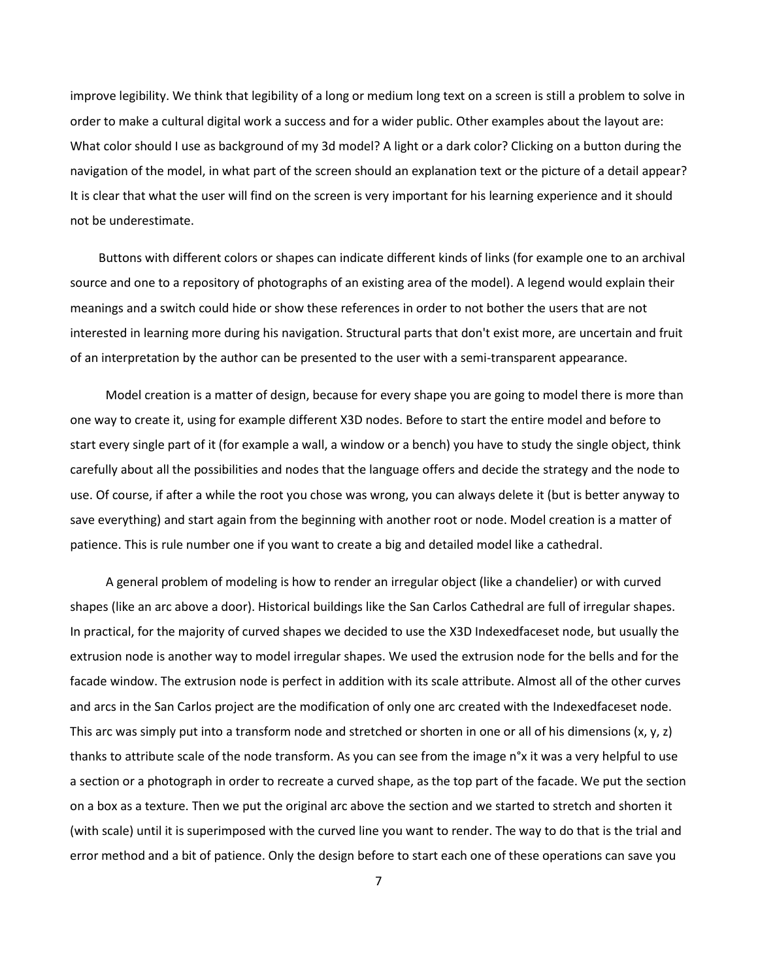improve legibility. We think that legibility of a long or medium long text on a screen is still a problem to solve in order to make a cultural digital work a success and for a wider public. Other examples about the layout are: What color should I use as background of my 3d model? A light or a dark color? Clicking on a button during the navigation of the model, in what part of the screen should an explanation text or the picture of a detail appear? It is clear that what the user will find on the screen is very important for his learning experience and it should not be underestimate.

 Buttons with different colors or shapes can indicate different kinds of links (for example one to an archival source and one to a repository of photographs of an existing area of the model). A legend would explain their meanings and a switch could hide or show these references in order to not bother the users that are not interested in learning more during his navigation. Structural parts that don't exist more, are uncertain and fruit of an interpretation by the author can be presented to the user with a semi-transparent appearance.

 Model creation is a matter of design, because for every shape you are going to model there is more than one way to create it, using for example different X3D nodes. Before to start the entire model and before to start every single part of it (for example a wall, a window or a bench) you have to study the single object, think carefully about all the possibilities and nodes that the language offers and decide the strategy and the node to use. Of course, if after a while the root you chose was wrong, you can always delete it (but is better anyway to save everything) and start again from the beginning with another root or node. Model creation is a matter of patience. This is rule number one if you want to create a big and detailed model like a cathedral.

 A general problem of modeling is how to render an irregular object (like a chandelier) or with curved shapes (like an arc above a door). Historical buildings like the San Carlos Cathedral are full of irregular shapes. In practical, for the majority of curved shapes we decided to use the X3D Indexedfaceset node, but usually the extrusion node is another way to model irregular shapes. We used the extrusion node for the bells and for the facade window. The extrusion node is perfect in addition with its scale attribute. Almost all of the other curves and arcs in the San Carlos project are the modification of only one arc created with the Indexedfaceset node. This arc was simply put into a transform node and stretched or shorten in one or all of his dimensions (x, y, z) thanks to attribute scale of the node transform. As you can see from the image n°x it was a very helpful to use a section or a photograph in order to recreate a curved shape, as the top part of the facade. We put the section on a box as a texture. Then we put the original arc above the section and we started to stretch and shorten it (with scale) until it is superimposed with the curved line you want to render. The way to do that is the trial and error method and a bit of patience. Only the design before to start each one of these operations can save you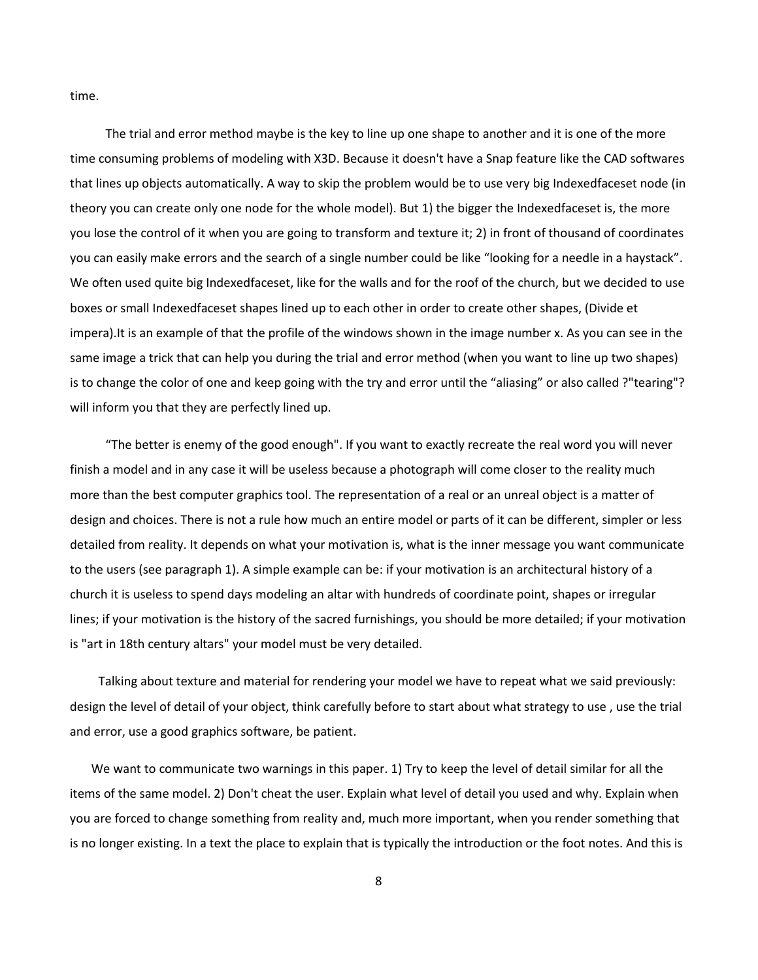time.

 The trial and error method maybe is the key to line up one shape to another and it is one of the more time consuming problems of modeling with X3D. Because it doesn't have a Snap feature like the CAD softwares that lines up objects automatically. A way to skip the problem would be to use very big Indexedfaceset node (in theory you can create only one node for the whole model). But 1) the bigger the Indexedfaceset is, the more you lose the control of it when you are going to transform and texture it; 2) in front of thousand of coordinates you can easily make errors and the search of a single number could be like "looking for a needle in a haystack". We often used quite big Indexedfaceset, like for the walls and for the roof of the church, but we decided to use boxes or small Indexedfaceset shapes lined up to each other in order to create other shapes, (Divide et impera).It is an example of that the profile of the windows shown in the image number x. As you can see in the same image a trick that can help you during the trial and error method (when you want to line up two shapes) is to change the color of one and keep going with the try and error until the "aliasing" or also called ?"tearing"? will inform you that they are perfectly lined up.

 "The better is enemy of the good enough". If you want to exactly recreate the real word you will never finish a model and in any case it will be useless because a photograph will come closer to the reality much more than the best computer graphics tool. The representation of a real or an unreal object is a matter of design and choices. There is not a rule how much an entire model or parts of it can be different, simpler or less detailed from reality. It depends on what your motivation is, what is the inner message you want communicate to the users (see paragraph 1). A simple example can be: if your motivation is an architectural history of a church it is useless to spend days modeling an altar with hundreds of coordinate point, shapes or irregular lines; if your motivation is the history of the sacred furnishings, you should be more detailed; if your motivation is "art in 18th century altars" your model must be very detailed.

 Talking about texture and material for rendering your model we have to repeat what we said previously: design the level of detail of your object, think carefully before to start about what strategy to use , use the trial and error, use a good graphics software, be patient.

 We want to communicate two warnings in this paper. 1) Try to keep the level of detail similar for all the items of the same model. 2) Don't cheat the user. Explain what level of detail you used and why. Explain when you are forced to change something from reality and, much more important, when you render something that is no longer existing. In a text the place to explain that is typically the introduction or the foot notes. And this is

8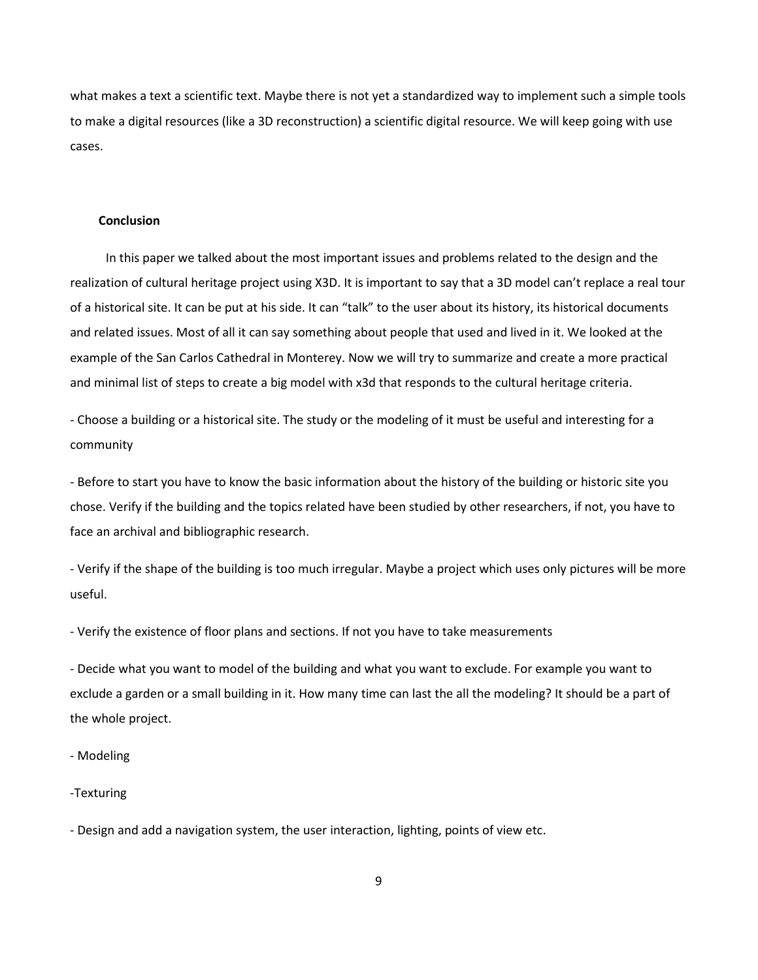what makes a text a scientific text. Maybe there is not yet a standardized way to implement such a simple tools to make a digital resources (like a 3D reconstruction) a scientific digital resource. We will keep going with use cases.

## **Conclusion**

 In this paper we talked about the most important issues and problems related to the design and the realization of cultural heritage project using X3D. It is important to say that a 3D model can't replace a real tour of a historical site. It can be put at his side. It can "talk" to the user about its history, its historical documents and related issues. Most of all it can say something about people that used and lived in it. We looked at the example of the San Carlos Cathedral in Monterey. Now we will try to summarize and create a more practical and minimal list of steps to create a big model with x3d that responds to the cultural heritage criteria.

- Choose a building or a historical site. The study or the modeling of it must be useful and interesting for a community

- Before to start you have to know the basic information about the history of the building or historic site you chose. Verify if the building and the topics related have been studied by other researchers, if not, you have to face an archival and bibliographic research.

- Verify if the shape of the building is too much irregular. Maybe a project which uses only pictures will be more useful.

- Verify the existence of floor plans and sections. If not you have to take measurements

- Decide what you want to model of the building and what you want to exclude. For example you want to exclude a garden or a small building in it. How many time can last the all the modeling? It should be a part of the whole project.

- Modeling

## -Texturing

- Design and add a navigation system, the user interaction, lighting, points of view etc.

9